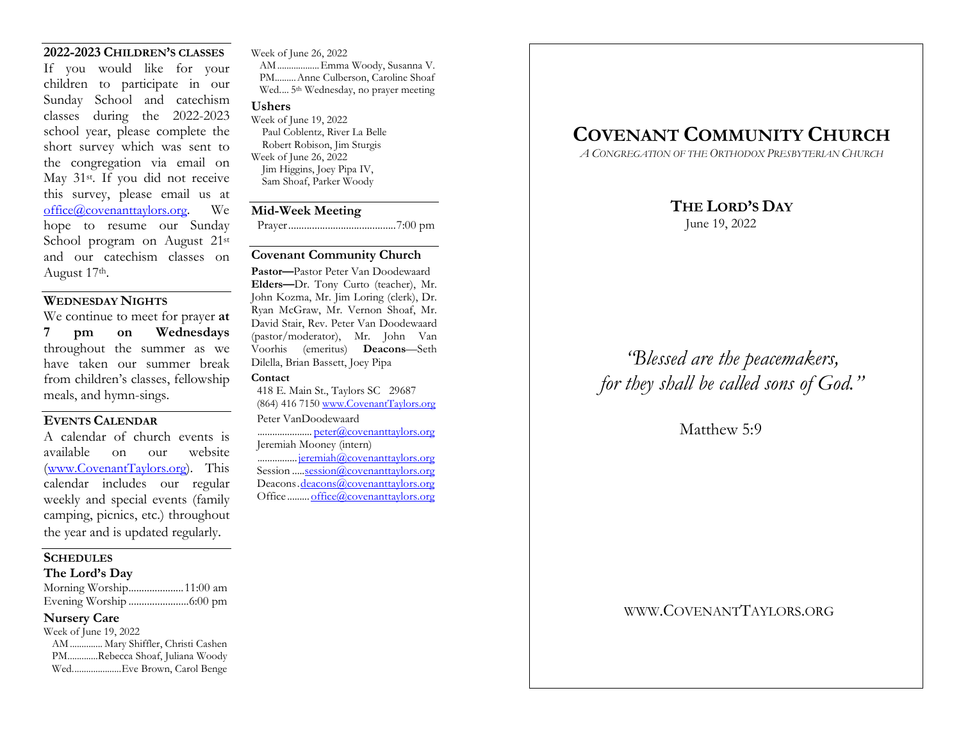### 2022-2023 CHILDREN'S CLASSES

If you would like for your children to participate in our Sunday School and catechism classes during the 2022-2023 school year, please complete the short survey which was sent to the congregation via email on May 31st. If you did not receive this survey, please email us at office@covenanttaylors.org. We hope to resume our Sunday School program on August 21st and our catechism classes on August 17th.

## WEDNESDAY NIGHTS

We continue to meet for prayer at 7 pm on Wednesdays throughout the summer as we have taken our summer break from children's classes, fellowship meals, and hymn-sings.

## EVENTS CALENDAR

A calendar of church events is available on our website (www.CovenantTaylors.org). This calendar includes our regular weekly and special events (family camping, picnics, etc.) throughout the year and is updated regularly.

### **SCHEDULES**

### The Lord's Day

| Morning Worship11:00 am |
|-------------------------|
|                         |

## Nursery Care

| Week of June 19, 2022             |
|-----------------------------------|
| AM  Mary Shiffler, Christi Cashen |
| PMRebecca Shoaf, Juliana Woody    |
| WedEve Brown, Carol Benge         |

Week of June 26, 2022 AM .................. Emma Woody, Susanna V. PM......... Anne Culberson, Caroline Shoaf Wed.... 5<sup>th</sup> Wednesday, no prayer meeting

#### Ushers

Week of June 19, 2022 Paul Coblentz, River La Belle Robert Robison, Jim Sturgis Week of June 26, 2022 Jim Higgins, Joey Pipa IV, Sam Shoaf, Parker Woody

#### Mid-Week Meeting

Prayer ......................................... 7:00 pm

### Covenant Community Church

Pastor—Pastor Peter Van Doodewaard Elders—Dr. Tony Curto (teacher), Mr. John Kozma, Mr. Jim Loring (clerk), Dr. Ryan McGraw, Mr. Vernon Shoaf, Mr. David Stair, Rev. Peter Van Doodewaard (pastor/moderator), Mr. John Van Voorhis (emeritus) Deacons—Seth Dilella, Brian Bassett, Joey Pipa

### **Contact**

 418 E. Main St., Taylors SC 29687 (864) 416 7150 www.CovenantTaylors.org Peter VanDoodewaard ...................... peter@covenanttaylors.org Jeremiah Mooney (intern)

 ................ jeremiah@covenanttaylors.org Session ..... session@covenanttaylors.org Deacons.deacons@covenanttaylors.org Office ......... office@covenanttaylors.org

## COVENANT COMMUNITY CHURCH

A CONGREGATION OF THE ORTHODOX PRESBYTERIAN CHURCH

## THE LORD'S DAY

June 19, 2022

# "Blessed are the peacemakers, for they shall be called sons of God."

Matthew 5:9

WWW.COVENANTTAYLORS.ORG